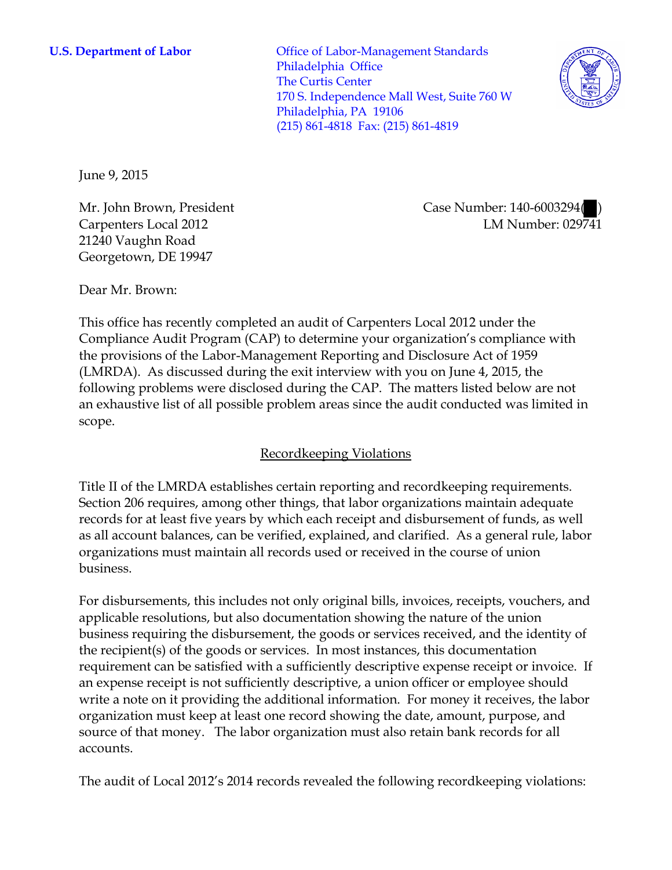**U.S. Department of Labor** Office of Labor-Management Standards Philadelphia Office The Curtis Center 170 S. Independence Mall West, Suite 760 W Philadelphia, PA 19106 (215) 861-4818 Fax: (215) 861-4819



June 9, 2015

Mr. John Brown, President Carpenters Local 2012 21240 Vaughn Road Georgetown, DE 19947

Case Number: 140-6003294( ) LM Number: 029741

Dear Mr. Brown:

This office has recently completed an audit of Carpenters Local 2012 under the Compliance Audit Program (CAP) to determine your organization's compliance with the provisions of the Labor-Management Reporting and Disclosure Act of 1959 (LMRDA). As discussed during the exit interview with you on June 4, 2015, the following problems were disclosed during the CAP. The matters listed below are not an exhaustive list of all possible problem areas since the audit conducted was limited in scope.

# Recordkeeping Violations

Title II of the LMRDA establishes certain reporting and recordkeeping requirements. Section 206 requires, among other things, that labor organizations maintain adequate records for at least five years by which each receipt and disbursement of funds, as well as all account balances, can be verified, explained, and clarified. As a general rule, labor organizations must maintain all records used or received in the course of union business.

For disbursements, this includes not only original bills, invoices, receipts, vouchers, and applicable resolutions, but also documentation showing the nature of the union business requiring the disbursement, the goods or services received, and the identity of the recipient(s) of the goods or services. In most instances, this documentation requirement can be satisfied with a sufficiently descriptive expense receipt or invoice. If an expense receipt is not sufficiently descriptive, a union officer or employee should write a note on it providing the additional information. For money it receives, the labor organization must keep at least one record showing the date, amount, purpose, and source of that money. The labor organization must also retain bank records for all accounts.

The audit of Local 2012's 2014 records revealed the following recordkeeping violations: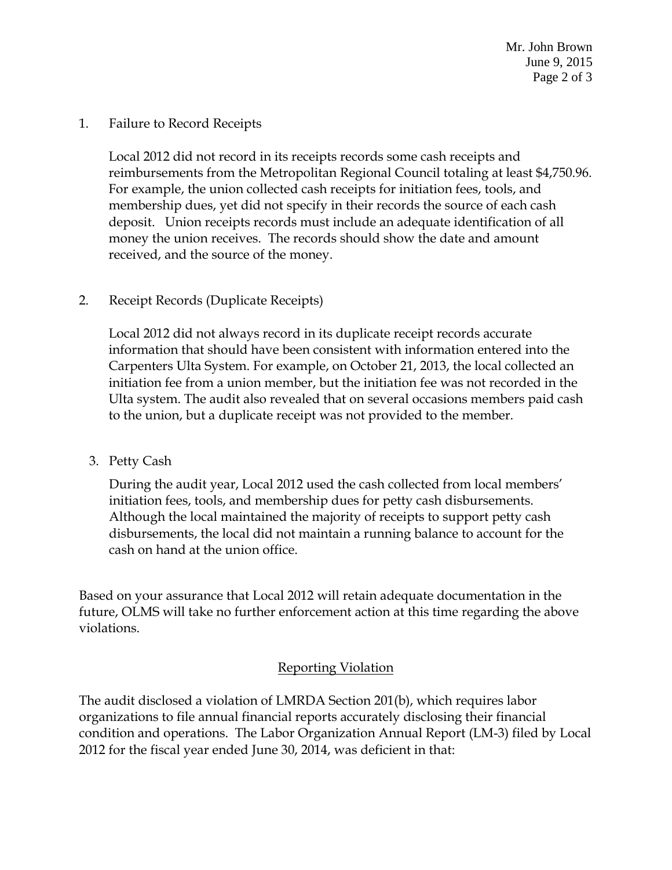Mr. John Brown June 9, 2015 Page 2 of 3

#### 1. Failure to Record Receipts

Local 2012 did not record in its receipts records some cash receipts and reimbursements from the Metropolitan Regional Council totaling at least \$4,750.96. For example, the union collected cash receipts for initiation fees, tools, and membership dues, yet did not specify in their records the source of each cash deposit. Union receipts records must include an adequate identification of all money the union receives. The records should show the date and amount received, and the source of the money.

### 2. Receipt Records (Duplicate Receipts)

Local 2012 did not always record in its duplicate receipt records accurate information that should have been consistent with information entered into the Carpenters Ulta System. For example, on October 21, 2013, the local collected an initiation fee from a union member, but the initiation fee was not recorded in the Ulta system. The audit also revealed that on several occasions members paid cash to the union, but a duplicate receipt was not provided to the member.

### 3. Petty Cash

During the audit year, Local 2012 used the cash collected from local members' initiation fees, tools, and membership dues for petty cash disbursements. Although the local maintained the majority of receipts to support petty cash disbursements, the local did not maintain a running balance to account for the cash on hand at the union office.

Based on your assurance that Local 2012 will retain adequate documentation in the future, OLMS will take no further enforcement action at this time regarding the above violations.

## Reporting Violation

The audit disclosed a violation of LMRDA Section 201(b), which requires labor organizations to file annual financial reports accurately disclosing their financial condition and operations. The Labor Organization Annual Report (LM-3) filed by Local 2012 for the fiscal year ended June 30, 2014, was deficient in that: